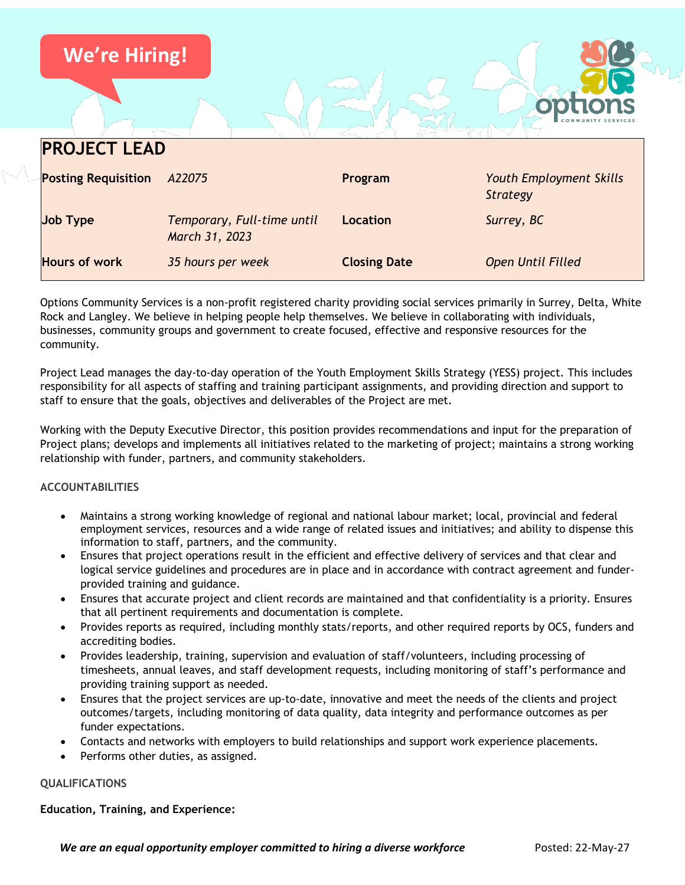

Options Community Services is a non-profit registered charity providing social services primarily in Surrey, Delta, White Rock and Langley. We believe in helping people help themselves. We believe in collaborating with individuals, businesses, community groups and government to create focused, effective and responsive resources for the community.

Project Lead manages the day-to-day operation of the Youth Employment Skills Strategy (YESS) project. This includes responsibility for all aspects of staffing and training participant assignments, and providing direction and support to staff to ensure that the goals, objectives and deliverables of the Project are met.

Working with the Deputy Executive Director, this position provides recommendations and input for the preparation of Project plans; develops and implements all initiatives related to the marketing of project; maintains a strong working relationship with funder, partners, and community stakeholders.

# **ACCOUNTABILITIES**

- Maintains a strong working knowledge of regional and national labour market; local, provincial and federal employment services, resources and a wide range of related issues and initiatives; and ability to dispense this information to staff, partners, and the community.
- Ensures that project operations result in the efficient and effective delivery of services and that clear and logical service guidelines and procedures are in place and in accordance with contract agreement and funderprovided training and guidance.
- Ensures that accurate project and client records are maintained and that confidentiality is a priority. Ensures that all pertinent requirements and documentation is complete.
- Provides reports as required, including monthly stats/reports, and other required reports by OCS, funders and accrediting bodies.
- Provides leadership, training, supervision and evaluation of staff/volunteers, including processing of timesheets, annual leaves, and staff development requests, including monitoring of staff's performance and providing training support as needed.
- Ensures that the project services are up-to-date, innovative and meet the needs of the clients and project outcomes/targets, including monitoring of data quality, data integrity and performance outcomes as per funder expectations.
- Contacts and networks with employers to build relationships and support work experience placements.
- Performs other duties, as assigned.

#### **QUALIFICATIONS**

**Education, Training, and Experience:**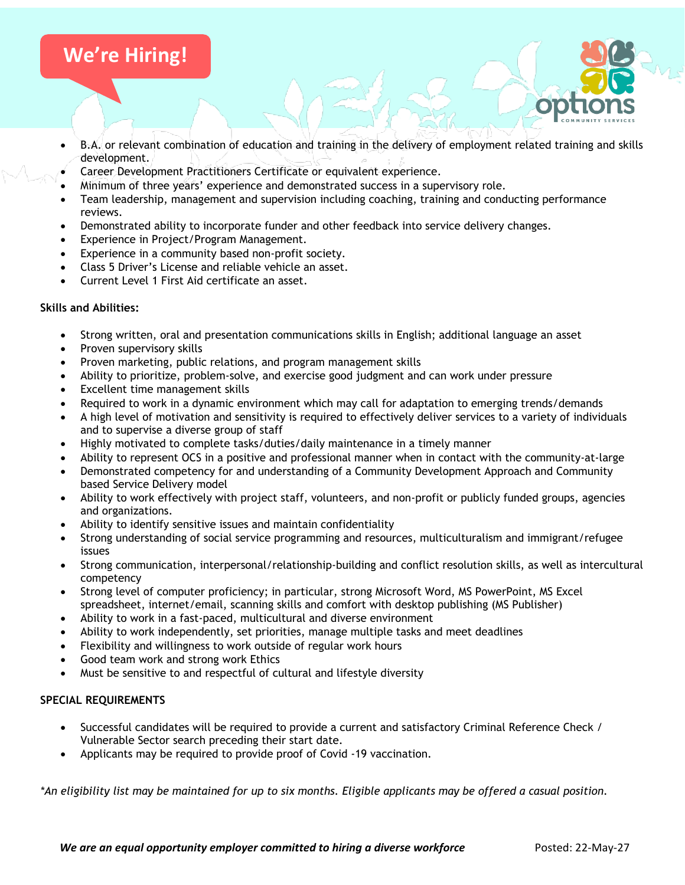# **We're Hiring!**

- B.A. or relevant combination of education and training in the delivery of employment related training and skills development.
- Career Development Practitioners Certificate or equivalent experience.
- Minimum of three years' experience and demonstrated success in a supervisory role.
- Team leadership, management and supervision including coaching, training and conducting performance reviews.
- Demonstrated ability to incorporate funder and other feedback into service delivery changes.
- Experience in Project/Program Management.
- Experience in a community based non-profit society.
- Class 5 Driver's License and reliable vehicle an asset.
- Current Level 1 First Aid certificate an asset.

### **Skills and Abilities:**

- Strong written, oral and presentation communications skills in English; additional language an asset
- Proven supervisory skills
- Proven marketing, public relations, and program management skills
- Ability to prioritize, problem-solve, and exercise good judgment and can work under pressure
- Excellent time management skills
- Required to work in a dynamic environment which may call for adaptation to emerging trends/demands
- A high level of motivation and sensitivity is required to effectively deliver services to a variety of individuals and to supervise a diverse group of staff
- Highly motivated to complete tasks/duties/daily maintenance in a timely manner
- Ability to represent OCS in a positive and professional manner when in contact with the community-at-large
- Demonstrated competency for and understanding of a Community Development Approach and Community based Service Delivery model
- Ability to work effectively with project staff, volunteers, and non-profit or publicly funded groups, agencies and organizations.
- Ability to identify sensitive issues and maintain confidentiality
- Strong understanding of social service programming and resources, multiculturalism and immigrant/refugee issues
- Strong communication, interpersonal/relationship-building and conflict resolution skills, as well as intercultural competency
- Strong level of computer proficiency; in particular, strong Microsoft Word, MS PowerPoint, MS Excel spreadsheet, internet/email, scanning skills and comfort with desktop publishing (MS Publisher)
- Ability to work in a fast-paced, multicultural and diverse environment
- Ability to work independently, set priorities, manage multiple tasks and meet deadlines
- Flexibility and willingness to work outside of regular work hours
- Good team work and strong work Ethics
- Must be sensitive to and respectful of cultural and lifestyle diversity

# **SPECIAL REQUIREMENTS**

- Successful candidates will be required to provide a current and satisfactory Criminal Reference Check / Vulnerable Sector search preceding their start date.
- Applicants may be required to provide proof of Covid -19 vaccination.

*\*An eligibility list may be maintained for up to six months. Eligible applicants may be offered a casual position.*